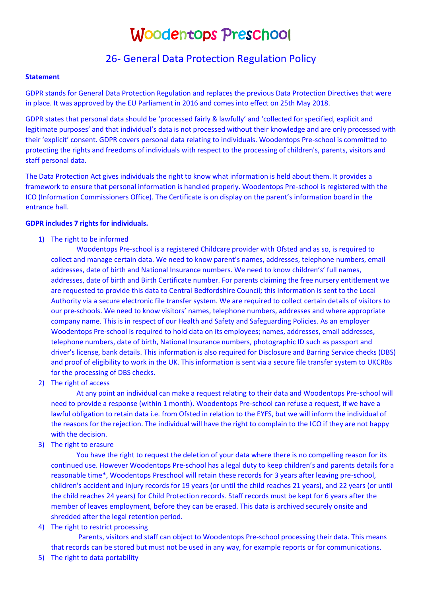## Woodentops Preschool

### 26- General Data Protection Regulation Policy

#### **Statement**

GDPR stands for General Data Protection Regulation and replaces the previous Data Protection Directives that were in place. It was approved by the EU Parliament in 2016 and comes into effect on 25th May 2018.

GDPR states that personal data should be 'processed fairly & lawfully' and 'collected for specified, explicit and legitimate purposes' and that individual's data is not processed without their knowledge and are only processed with their 'explicit' consent. GDPR covers personal data relating to individuals. Woodentops Pre-school is committed to protecting the rights and freedoms of individuals with respect to the processing of children's, parents, visitors and staff personal data.

The Data Protection Act gives individuals the right to know what information is held about them. It provides a framework to ensure that personal information is handled properly. Woodentops Pre-school is registered with the ICO (Information Commissioners Office). The Certificate is on display on the parent's information board in the entrance hall.

#### **GDPR includes 7 rights for individuals.**

1) The right to be informed

Woodentops Pre-school is a registered Childcare provider with Ofsted and as so, is required to collect and manage certain data. We need to know parent's names, addresses, telephone numbers, email addresses, date of birth and National Insurance numbers. We need to know children's' full names, addresses, date of birth and Birth Certificate number. For parents claiming the free nursery entitlement we are requested to provide this data to Central Bedfordshire Council; this information is sent to the Local Authority via a secure electronic file transfer system. We are required to collect certain details of visitors to our pre-schools. We need to know visitors' names, telephone numbers, addresses and where appropriate company name. This is in respect of our Health and Safety and Safeguarding Policies. As an employer Woodentops Pre-school is required to hold data on its employees; names, addresses, email addresses, telephone numbers, date of birth, National Insurance numbers, photographic ID such as passport and driver's license, bank details. This information is also required for Disclosure and Barring Service checks (DBS) and proof of eligibility to work in the UK. This information is sent via a secure file transfer system to UKCRBs for the processing of DBS checks.

2) The right of access

At any point an individual can make a request relating to their data and Woodentops Pre-school will need to provide a response (within 1 month). Woodentops Pre-school can refuse a request, if we have a lawful obligation to retain data i.e. from Ofsted in relation to the EYFS, but we will inform the individual of the reasons for the rejection. The individual will have the right to complain to the ICO if they are not happy with the decision.

3) The right to erasure

You have the right to request the deletion of your data where there is no compelling reason for its continued use. However Woodentops Pre-school has a legal duty to keep children's and parents details for a reasonable time\*, Woodentops Preschool will retain these records for 3 years after leaving pre-school, children's accident and injury records for 19 years (or until the child reaches 21 years), and 22 years (or until the child reaches 24 years) for Child Protection records. Staff records must be kept for 6 years after the member of leaves employment, before they can be erased. This data is archived securely onsite and shredded after the legal retention period.

4) The right to restrict processing

Parents, visitors and staff can object to Woodentops Pre-school processing their data. This means that records can be stored but must not be used in any way, for example reports or for communications.

5) The right to data portability